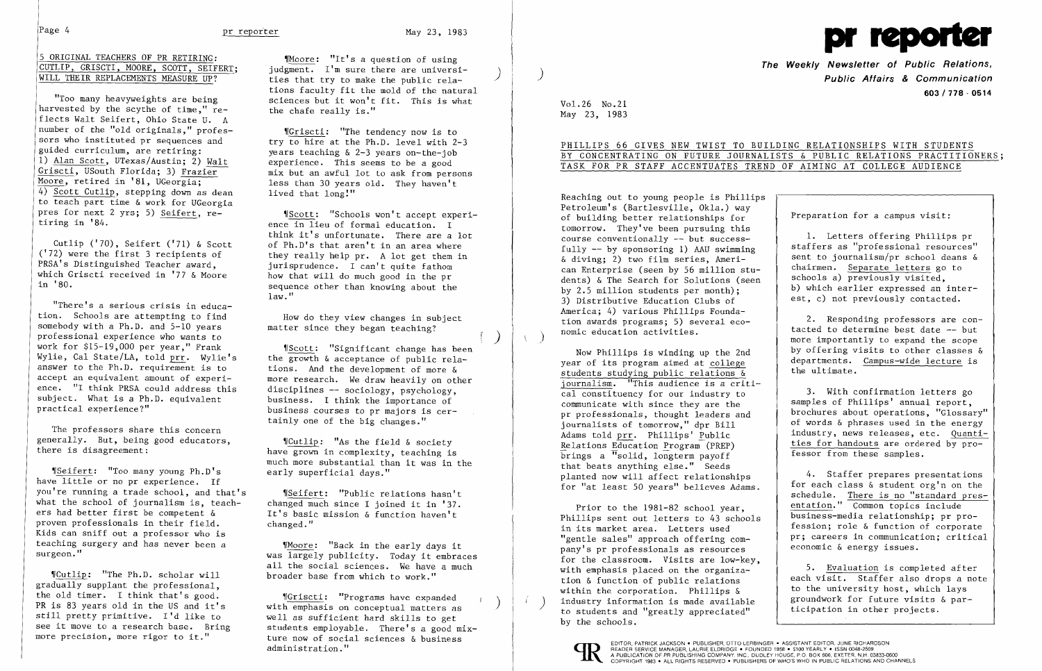## 5 ORIGINAL TEACHERS OF PR RETIRING: CUTLIP, GRISCTI, MOORE, SCOTT, SEIFERT; WILL THEIR REPLACEMENTS MEASURE UP?

"Too many heavyweights are being harvested by the scythe of time." reflects Walt Seifert, Ohio State U. A number of the "old originals," professors who instituted pr sequences and guided curriculum, are retiring: 1) Alan Scott, UTexas/Austin; 2) Walt Griscti, USouth Florida; 3) Frazier- Moore, retired in '81, UGeorgia; 4) Scott Cutlip, stepping down as dean to teach part time & work for UGeorgia pres for next 2 yrs; 5) Seifert, retiring in '84.

Cutlip ('70), Seifert ('71) & Scott ('72) were the first 3 recipients of PRSA's Distinguished Teacher award, which Griscti received in '77 & Moore in '80.

"There's a serious crisis in education. Schools are attempting to find somebody with a Ph.D. and 5-10 years professional experience who wants to work for \$15-19,000 per year," Frank Wylie, Cal State/LA, told prr. Wylie's answer to the Ph.D. requirement is to accept an equivalent amount of experience. "I think PRSA could address this subject. What is a Ph.D. equivalent practical experience?"

 $\P$ Seifert: "Too many young Ph.D's have little or no pr experience. If you're running a trade school, and that's what the school of journalism is, teachers had better first be competent & proven professionals in their field. Kids can sniff out a professor who is teaching surgery and has never been a surgeon."

"Moore: "It's a question of using" judgment. I'm sure there are universi- ) ties that try to make the public rela tions faculty fit the mold of the natural sciences but it won't fit. This is what the chafe really is."

"Surfacti: "The tendency now is to try to hire at the Ph.D. level with 2-3 years teaching & 2-3 years on-the-job experience. This seems to be a good mix but an awful lot to ask from persons less than 30 years old. They haven't lived that  $long'''$ 

,rScott: "Schools won't accept experience in lieu of formal education. I think it's unfortunate. There are a lot of Ph.D's that aren't in an area where they really help pr. A lot get them in jurisprudence. I can't quite fathom how that will do much good in the pr sequence other than knowing about the  $law.$ "

The professors share this concern generally. But, being good educators, there is disagreement:

 $N$ Cutlip: "As the field & society have grown in complexity, teaching is much more substantial than it was in the early superficial days."

"Seifert: "Public relations hasn't changed much since I joined it in '37. It's basic mission & function haven't changed."

,rCutlip: "The Ph.D. scholar will gradually supplant the professional, the old timer. I think that's good. PR is 83 years old in the US and it's still pretty primitive. I'd like to see it move to a research base. Bring more precision, more rigor to it."

PHILLIPS 66 GIVES NEW TWIST TO BUILDING RELATIONSHIPS WITH STUDENTS BY CONCENTRATING ON FUTURE JOURNALISTS & PUBLIC RELATIONS PRACTITIONERS;

Reaching out to young people is Phillips Petroleum's (Bartlesville, Okla.) way of building better relationships for tomorrow. They've been pursuing this course conventionally -- but successfully -- by sponsoring 1) AAU swimming & diving; 2) two film series, American Enterprise (seen by 56 million students) & The Search for Solutions (seen by 2.5 million students per month); 3) Distributive Education Clubs of America; 4) various Phillips Foundation awards programs; 5) several economic education activities.

How do they view changes in subject matter since they began teaching?

'(Scott: "Significant change has been the growth & acceptance of public relations. And the development of more & more research. We draw heavily on other disciplines -- sociology, psychology, business. I think the importance of business courses to pr majors is certainly one of the big changes."

'fMoore: "Back in the early days it was largely publicity. Today it embraces all the social sciences. We have a much broader base from which to work."

'[Griscti: "Programs have expanded ) with emphasis on conceptual matters as well as sufficient hard skills to get students employable. There's a good mixture now of social sciences  $\&$  business administration."

 $\left( \right)$ 



**The Weekly Newsletter of Public Relations,** ) **Public Affairs & Communication 603/778·0514** 

Vol. 26 No.21 May 23, 1983

# TASK FOR PR STAFF ACCENTUATES TREND OF AIMING AT COLLEGE AUDIENCE

Now Phillips is winding up the 2nd year of its program aimed at college students studying public relations & journalism. "This audience is a critical constituency for our industry to communicate with since they are the pr professionals, thought leaders and journalists of tomorrow," dpr Bill Adams told prr. Phillips' Public Relations Education Program (PREP)  $\overline{b}$ rings a "solid, longterm payoff that beats anything else." Seeds planted now will affect relationships for "at least 50 years" believes Adams.

Prior to the 1981-82 school year, Phillips sent out letters to 43 schools in its market area. Letters used "gentle sales" approach offering company's pr professionals as resources for the classroom. Visits are low-key, with emphasis placed on the organization & function of public relations within the corporation. Phillips & industry information is made available to students and "greatly appreciated" by the schools.



EDITOR, PATRICK JACKSON . PUBLISHER, OTTO LERBINGER . ASSISTANT EDITOR, JUNE RICHARDSON<br>A PLADER SERVICE MANAGER, LAURIE ELDRIDGE . FOUNDED 1958 . \$100 YEARLY . ISSN 0048-2609<br>A PUBLICATION OF PR PUBLISHING COMPANY. INC.,

Preparation for a campus visit:

1. Letters offering Phillips pr staffers as "professional resources" sent to journalism/pr school deans & chairmen. Separate letters go to schools a) previously visited, b) which earlier expressed an interest, c) not previously contacted.

2. Responding professors are contacted to determine best date -- but more importantly to expand the scope by offering visits to other classes & departments. Campus-wide lecture is the ultimate.

3. With confirmation letters go samples of Phillips' annual report, brochures about operations, "Glossary" of words & phrases used in the energy industry, news releases, etc. Quantities for handouts are ordered by professor from these samples.

4. Staffer prepares presentations for each class & student org'n on the schedule. There is no "standard presentation." Common topics include business-media relationship; pr profession; role & function of corporate pr; careers in communication; critical economic & energy issues.

5. Evaluation is completed after each visit. Staffer also drops a note to the university host, which lays groundwork for future visits & participation in other projects.